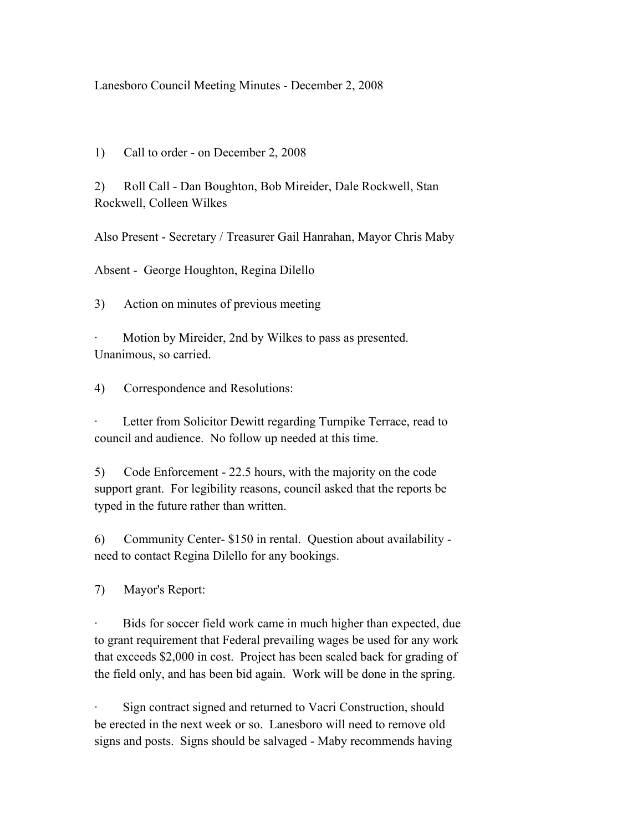## Lanesboro Council Meeting Minutes - December 2, 2008

1) Call to order - on December 2, 2008

2) Roll Call - Dan Boughton, Bob Mireider, Dale Rockwell, Stan Rockwell, Colleen Wilkes

Also Present - Secretary / Treasurer Gail Hanrahan, Mayor Chris Maby

Absent - George Houghton, Regina Dilello

3) Action on minutes of previous meeting

Motion by Mireider, 2nd by Wilkes to pass as presented. Unanimous, so carried.

4) Correspondence and Resolutions:

Letter from Solicitor Dewitt regarding Turnpike Terrace, read to council and audience. No follow up needed at this time.

5) Code Enforcement - 22.5 hours, with the majority on the code support grant. For legibility reasons, council asked that the reports be typed in the future rather than written.

6) Community Center- \$150 in rental. Question about availability need to contact Regina Dilello for any bookings.

7) Mayor's Report:

Bids for soccer field work came in much higher than expected, due to grant requirement that Federal prevailing wages be used for any work that exceeds \$2,000 in cost. Project has been scaled back for grading of the field only, and has been bid again. Work will be done in the spring.

Sign contract signed and returned to Vacri Construction, should be erected in the next week or so. Lanesboro will need to remove old signs and posts. Signs should be salvaged - Maby recommends having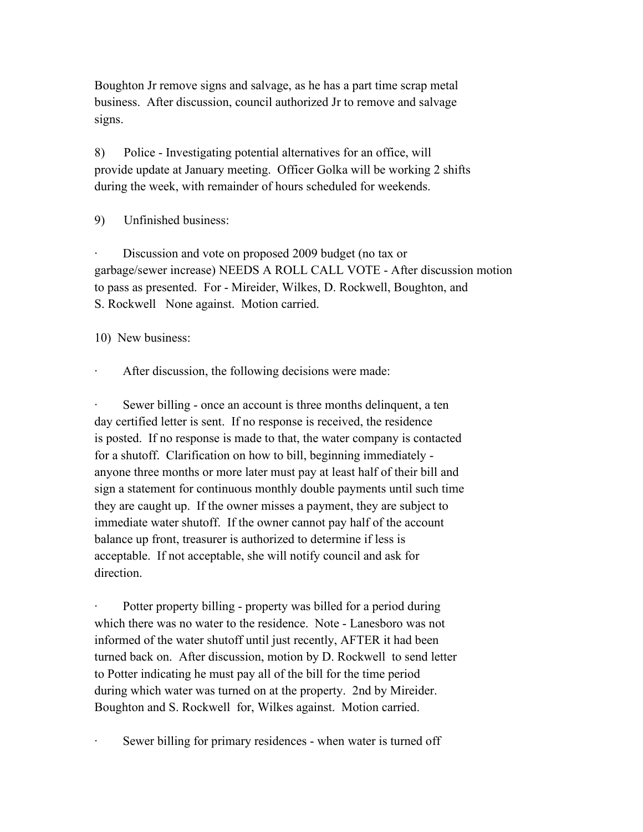Boughton Jr remove signs and salvage, as he has a part time scrap metal business. After discussion, council authorized Jr to remove and salvage signs.

8) Police - Investigating potential alternatives for an office, will provide update at January meeting. Officer Golka will be working 2 shifts during the week, with remainder of hours scheduled for weekends.

9) Unfinished business:

Discussion and vote on proposed 2009 budget (no tax or garbage/sewer increase) NEEDS A ROLL CALL VOTE - After discussion motion to pass as presented. For - Mireider, Wilkes, D. Rockwell, Boughton, and S. Rockwell None against. Motion carried.

10) New business:

After discussion, the following decisions were made:

Sewer billing - once an account is three months delinquent, a ten day certified letter is sent. If no response is received, the residence is posted. If no response is made to that, the water company is contacted for a shutoff. Clarification on how to bill, beginning immediately anyone three months or more later must pay at least half of their bill and sign a statement for continuous monthly double payments until such time they are caught up. If the owner misses a payment, they are subject to immediate water shutoff. If the owner cannot pay half of the account balance up front, treasurer is authorized to determine if less is acceptable. If not acceptable, she will notify council and ask for direction.

Potter property billing - property was billed for a period during which there was no water to the residence. Note - Lanesboro was not informed of the water shutoff until just recently, AFTER it had been turned back on. After discussion, motion by D. Rockwell to send letter to Potter indicating he must pay all of the bill for the time period during which water was turned on at the property. 2nd by Mireider. Boughton and S. Rockwell for, Wilkes against. Motion carried.

Sewer billing for primary residences - when water is turned off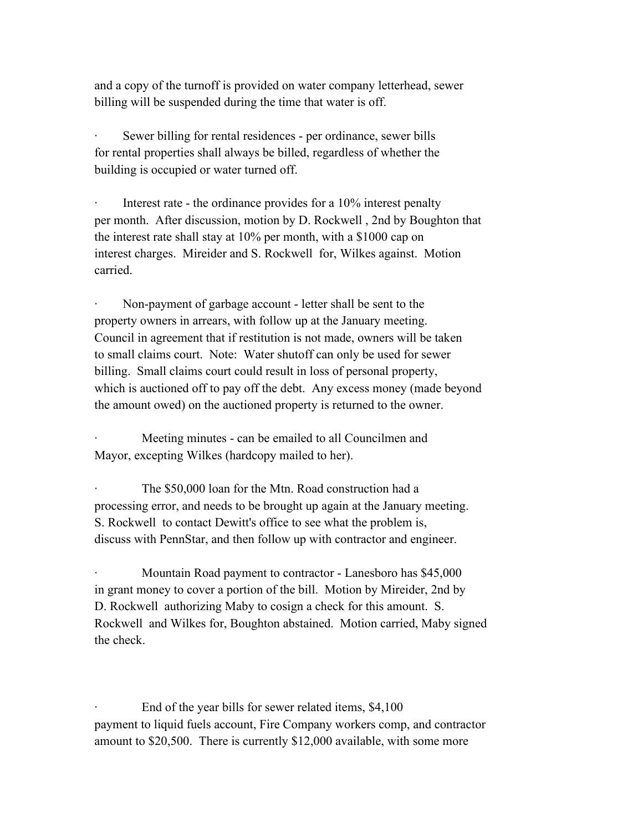and a copy of the turnoff is provided on water company letterhead, sewer billing will be suspended during the time that water is off.

Sewer billing for rental residences - per ordinance, sewer bills for rental properties shall always be billed, regardless of whether the building is occupied or water turned off.

Interest rate - the ordinance provides for a  $10\%$  interest penalty per month. After discussion, motion by D. Rockwell , 2nd by Boughton that the interest rate shall stay at 10% per month, with a \$1000 cap on interest charges. Mireider and S. Rockwell for, Wilkes against. Motion carried.

Non-payment of garbage account - letter shall be sent to the property owners in arrears, with follow up at the January meeting. Council in agreement that if restitution is not made, owners will be taken to small claims court. Note: Water shutoff can only be used for sewer billing. Small claims court could result in loss of personal property, which is auctioned off to pay off the debt. Any excess money (made beyond the amount owed) on the auctioned property is returned to the owner.

Meeting minutes - can be emailed to all Councilmen and Mayor, excepting Wilkes (hardcopy mailed to her).

The \$50,000 loan for the Mtn. Road construction had a processing error, and needs to be brought up again at the January meeting. S. Rockwell to contact Dewitt's office to see what the problem is, discuss with PennStar, and then follow up with contractor and engineer.

Mountain Road payment to contractor - Lanesboro has \$45,000 in grant money to cover a portion of the bill. Motion by Mireider, 2nd by D. Rockwell authorizing Maby to cosign a check for this amount. S. Rockwell and Wilkes for, Boughton abstained. Motion carried, Maby signed the check.

End of the year bills for sewer related items, \$4,100 payment to liquid fuels account, Fire Company workers comp, and contractor amount to \$20,500. There is currently \$12,000 available, with some more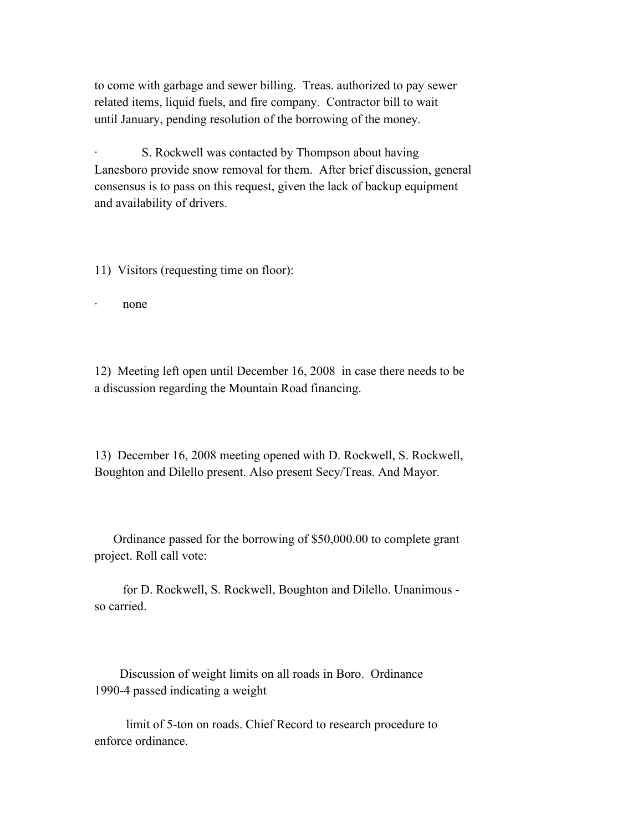to come with garbage and sewer billing. Treas. authorized to pay sewer related items, liquid fuels, and fire company. Contractor bill to wait until January, pending resolution of the borrowing of the money.

S. Rockwell was contacted by Thompson about having Lanesboro provide snow removal for them. After brief discussion, general consensus is to pass on this request, given the lack of backup equipment and availability of drivers.

11) Visitors (requesting time on floor):

· none

12) Meeting left open until December 16, 2008 in case there needs to be a discussion regarding the Mountain Road financing.

13) December 16, 2008 meeting opened with D. Rockwell, S. Rockwell, Boughton and Dilello present. Also present Secy/Treas. And Mayor.

 Ordinance passed for the borrowing of \$50,000.00 to complete grant project. Roll call vote:

 for D. Rockwell, S. Rockwell, Boughton and Dilello. Unanimous so carried.

 Discussion of weight limits on all roads in Boro. Ordinance 1990-4 passed indicating a weight

 limit of 5-ton on roads. Chief Record to research procedure to enforce ordinance.